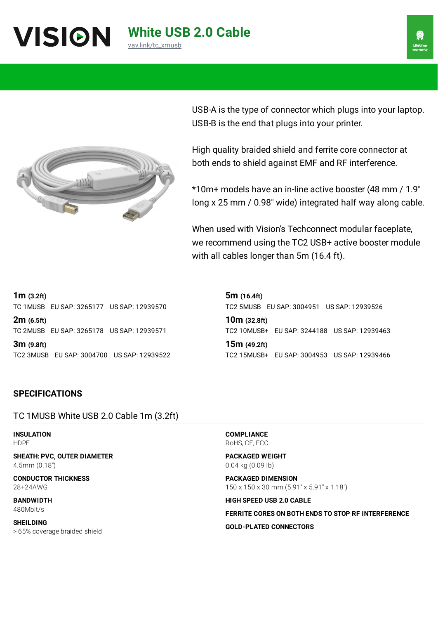

**White USB 2.0 Cable**

[vav.link/tc\\_xmusb](https://vav.link/tc_xmusb)

USB-A is the type of connector which plugs into your laptop. USB-B is the end that plugs into your printer.

High quality braided shield and ferrite core connector at both ends to shield against EMF and RF interference.

\*10m+ models have an in-line active booster (48 mm / 1.9″ long x 25 mm / 0.98″ wide) integrated half way along cable.

When used with Vision's Techconnect modular faceplate, we recommend using the TC2 USB+ active booster module with all cables longer than 5m (16.4 ft).

**1m (3.2ft)**

TC 1MUSB EU SAP: 3265177 US SAP: 12939570

**2m (6.5ft)** TC 2MUSB EU SAP: 3265178 US SAP: 12939571

**3m (9.8ft)** TC2 3MUSB EU SAP: 3004700 US SAP: 12939522

**5m (16.4ft)** TC2 5MUSB EU SAP: 3004951 US SAP: 12939526

**10m (32.8ft)** TC2 10MUSB+ EU SAP: 3244188 US SAP: 12939463

**15m (49.2ft)** TC2 15MUSB+ EU SAP: 3004953 US SAP: 12939466

# **SPECIFICATIONS**

TC 1MUSB White USB 2.0 Cable 1m (3.2ft)

**INSULATION** HDPE

**SHEATH: PVC, OUTER DIAMETER** 4.5mm (0.18″)

**CONDUCTOR THICKNESS** 28+24AWG

**BANDWIDTH** 480Mbit/s

**SHEILDING** > 65% coverage braided shield **COMPLIANCE** RoHS, CE, FCC

**PACKAGED WEIGHT** 0.04 kg (0.09 lb)

**PACKAGED DIMENSION** 150 x 150 x 30 mm (5.91" x 5.91" x 1.18")

**HIGH SPEED USB 2.0 CABLE**

**FERRITE CORES ON BOTH ENDS TO STOP RF INTERFERENCE GOLD-PLATED CONNECTORS**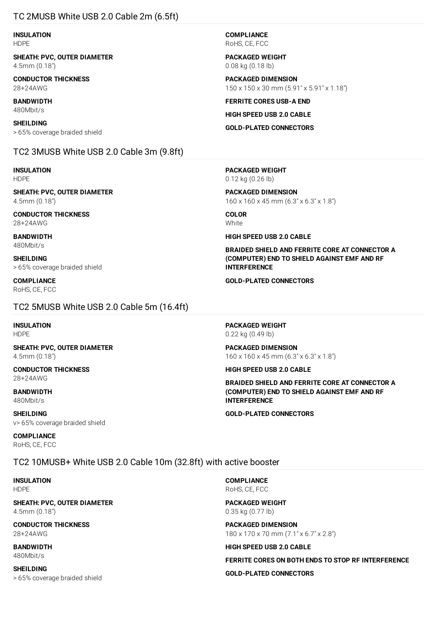# TC 2MUSB White USB 2.0 Cable 2m (6.5ft)

**INSULATION** HDPE

**SHEATH: PVC, OUTER DIAMETER** 4.5mm (0.18″)

**CONDUCTOR THICKNESS** 28+24AWG

**BANDWIDTH** 480Mbit/s

**SHEILDING** > 65% coverage braided shield

# TC2 3MUSB White USB 2.0 Cable 3m (9.8ft)

**INSULATION** HDPE

**SHEATH: PVC, OUTER DIAMETER** 4.5mm (0.18″)

**CONDUCTOR THICKNESS** 28+24AWG

**BANDWIDTH** 480Mbit/s

**SHEILDING** > 65% coverage braided shield

**COMPLIANCE** RoHS, CE, FCC

TC2 5MUSB White USB 2.0 Cable 5m (16.4ft)

**INSULATION** HDPE

**SHEATH: PVC, OUTER DIAMETER** 4.5mm (0.18″)

**CONDUCTOR THICKNESS** 28+24AWG

**BANDWIDTH** 480Mbit/s

**SHEILDING** v> 65% coverage braided shield

#### **COMPLIANCE**

RoHS, CE, FCC

# TC2 10MUSB+ White USB 2.0 Cable 10m (32.8ft) with active booster

**INSULATION** HDPE

**SHEATH: PVC, OUTER DIAMETER** 4.5mm (0.18″)

**CONDUCTOR THICKNESS** 28+24AWG

**BANDWIDTH** 480Mbit/s

**SHEILDING** > 65% coverage braided shield **COMPLIANCE** RoHS, CE, FCC

**PACKAGED WEIGHT** 0.08 kg (0.18 lb)

**PACKAGED DIMENSION** 150 x 150 x 30 mm (5.91" x 5.91" x 1.18")

**FERRITE CORES USB-A END**

**HIGH SPEED USB 2.0 CABLE**

**GOLD-PLATED CONNECTORS**

**PACKAGED WEIGHT** 0.12 kg (0.26 lb)

**PACKAGED DIMENSION** 160 x 160 x 45 mm (6.3" x 6.3" x 1.8")

**COLOR White** 

**HIGH SPEED USB 2.0 CABLE**

**BRAIDED SHIELD AND FERRITE CORE AT CONNECTOR A (COMPUTER) END TO SHIELD AGAINST EMF AND RF INTERFERENCE**

**GOLD-PLATED CONNECTORS**

**PACKAGED WEIGHT** 0.22 kg (0.49 lb)

**PACKAGED DIMENSION** 160 x 160 x 45 mm (6.3" x 6.3" x 1.8")

**HIGH SPEED USB 2.0 CABLE**

**BRAIDED SHIELD AND FERRITE CORE AT CONNECTOR A (COMPUTER) END TO SHIELD AGAINST EMF AND RF INTERFERENCE**

**GOLD-PLATED CONNECTORS**

**COMPLIANCE** RoHS, CE, FCC

**PACKAGED WEIGHT** 0.35 kg (0.77 lb)

**PACKAGED DIMENSION** 180 x 170 x 70 mm (7.1" x 6.7" x 2.8")

**HIGH SPEED USB 2.0 CABLE**

**FERRITE CORES ON BOTH ENDS TO STOP RF INTERFERENCE**

**GOLD-PLATED CONNECTORS**